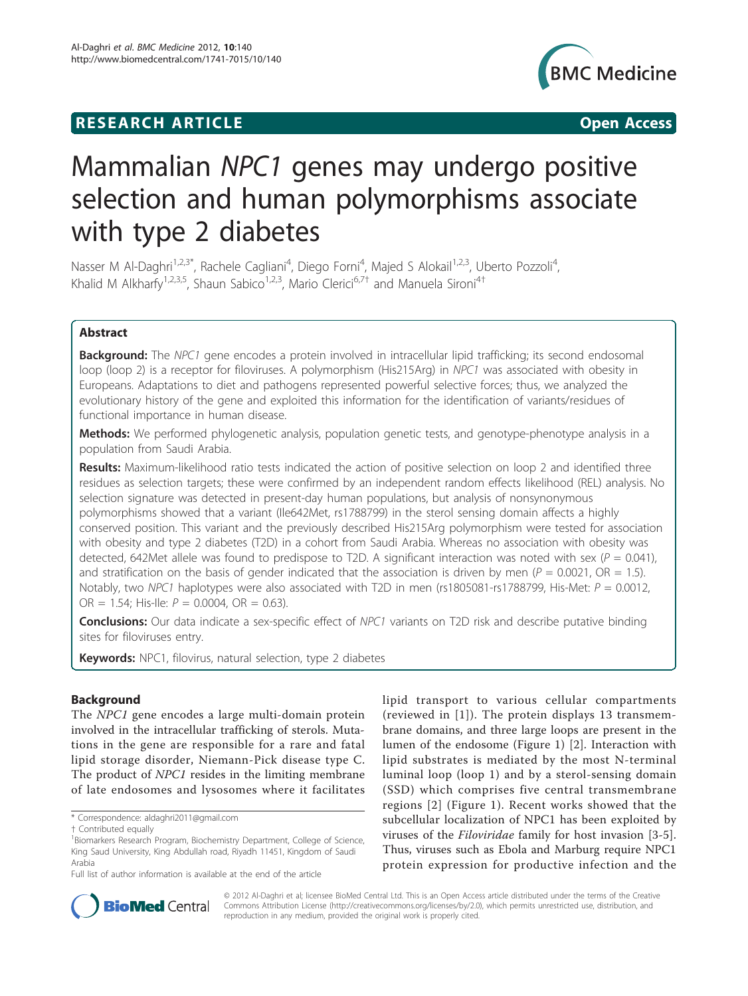## **RESEARCH ARTICLE Example 2018 12:00 Open Access**



# Mammalian NPC1 genes may undergo positive selection and human polymorphisms associate with type 2 diabetes

Nasser M Al-Daghri<sup>1,2,3\*</sup>, Rachele Cagliani<sup>4</sup>, Diego Forni<sup>4</sup>, Majed S Alokail<sup>1,2,3</sup>, Uberto Pozzoli<sup>4</sup> , Khalid M Alkharfy<sup>1,2,3,5</sup>, Shaun Sabico<sup>1,2,3</sup>, Mario Clerici<sup>6,7†</sup> and Manuela Sironi<sup>4†</sup>

## Abstract

**Background:** The NPC1 gene encodes a protein involved in intracellular lipid trafficking; its second endosomal loop (loop 2) is a receptor for filoviruses. A polymorphism (His215Arg) in NPC1 was associated with obesity in Europeans. Adaptations to diet and pathogens represented powerful selective forces; thus, we analyzed the evolutionary history of the gene and exploited this information for the identification of variants/residues of functional importance in human disease.

Methods: We performed phylogenetic analysis, population genetic tests, and genotype-phenotype analysis in a population from Saudi Arabia.

Results: Maximum-likelihood ratio tests indicated the action of positive selection on loop 2 and identified three residues as selection targets; these were confirmed by an independent random effects likelihood (REL) analysis. No selection signature was detected in present-day human populations, but analysis of nonsynonymous polymorphisms showed that a variant (Ile642Met, rs1788799) in the sterol sensing domain affects a highly conserved position. This variant and the previously described His215Arg polymorphism were tested for association with obesity and type 2 diabetes (T2D) in a cohort from Saudi Arabia. Whereas no association with obesity was detected, 642Met allele was found to predispose to T2D. A significant interaction was noted with sex ( $P = 0.041$ ), and stratification on the basis of gender indicated that the association is driven by men ( $P = 0.0021$ , OR = 1.5). Notably, two NPC1 haplotypes were also associated with T2D in men (rs1805081-rs1788799, His-Met:  $P = 0.0012$ , OR = 1.54; His-Ile:  $P = 0.0004$ , OR = 0.63).

Conclusions: Our data indicate a sex-specific effect of NPC1 variants on T2D risk and describe putative binding sites for filoviruses entry.

Keywords: NPC1, filovirus, natural selection, type 2 diabetes

## Background

The NPC1 gene encodes a large multi-domain protein involved in the intracellular trafficking of sterols. Mutations in the gene are responsible for a rare and fatal lipid storage disorder, Niemann-Pick disease type C. The product of NPC1 resides in the limiting membrane of late endosomes and lysosomes where it facilitates lipid transport to various cellular compartments (reviewed in [[1\]](#page-9-0)). The protein displays 13 transmembrane domains, and three large loops are present in the lumen of the endosome (Figure [1\)](#page-1-0) [[2\]](#page-9-0). Interaction with lipid substrates is mediated by the most N-terminal luminal loop (loop 1) and by a sterol-sensing domain (SSD) which comprises five central transmembrane regions [[2\]](#page-9-0) (Figure [1\)](#page-1-0). Recent works showed that the subcellular localization of NPC1 has been exploited by viruses of the Filoviridae family for host invasion [\[3-5](#page-9-0)]. Thus, viruses such as Ebola and Marburg require NPC1 protein expression for productive infection and the



© 2012 Al-Daghri et al; licensee BioMed Central Ltd. This is an Open Access article distributed under the terms of the Creative Commons Attribution License [\(http://creativecommons.org/licenses/by/2.0](http://creativecommons.org/licenses/by/2.0)), which permits unrestricted use, distribution, and reproduction in any medium, provided the original work is properly cited.

<sup>\*</sup> Correspondence: [aldaghri2011@gmail.com](mailto:aldaghri2011@gmail.com)

<sup>†</sup> Contributed equally <sup>1</sup>

<sup>&</sup>lt;sup>1</sup>Biomarkers Research Program, Biochemistry Department, College of Science, King Saud University, King Abdullah road, Riyadh 11451, Kingdom of Saudi Arabia

Full list of author information is available at the end of the article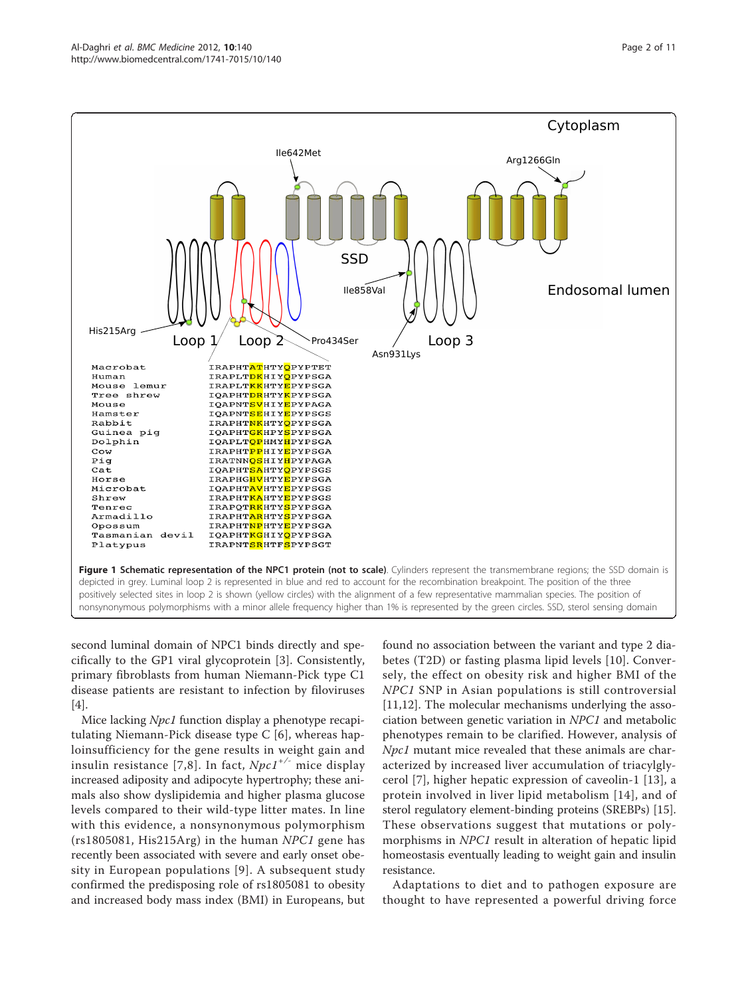<span id="page-1-0"></span>

second luminal domain of NPC1 binds directly and specifically to the GP1 viral glycoprotein [[3\]](#page-9-0). Consistently, primary fibroblasts from human Niemann-Pick type C1 disease patients are resistant to infection by filoviruses [[4\]](#page-9-0).

Mice lacking Npc1 function display a phenotype recapitulating Niemann-Pick disease type C [\[6](#page-9-0)], whereas haploinsufficiency for the gene results in weight gain and insulin resistance [[7,8](#page-9-0)]. In fact,  $Npc1^{+/}$  mice display increased adiposity and adipocyte hypertrophy; these animals also show dyslipidemia and higher plasma glucose levels compared to their wild-type litter mates. In line with this evidence, a nonsynonymous polymorphism (rs1805081, His215Arg) in the human NPC1 gene has recently been associated with severe and early onset obesity in European populations [[9](#page-9-0)]. A subsequent study confirmed the predisposing role of rs1805081 to obesity and increased body mass index (BMI) in Europeans, but

found no association between the variant and type 2 diabetes (T2D) or fasting plasma lipid levels [\[10\]](#page-9-0). Conversely, the effect on obesity risk and higher BMI of the NPC1 SNP in Asian populations is still controversial [[11,12\]](#page-9-0). The molecular mechanisms underlying the association between genetic variation in NPC1 and metabolic phenotypes remain to be clarified. However, analysis of Npc1 mutant mice revealed that these animals are characterized by increased liver accumulation of triacylglycerol [[7\]](#page-9-0), higher hepatic expression of caveolin-1 [[13\]](#page-9-0), a protein involved in liver lipid metabolism [[14](#page-9-0)], and of sterol regulatory element-binding proteins (SREBPs) [[15](#page-9-0)]. These observations suggest that mutations or polymorphisms in NPC1 result in alteration of hepatic lipid homeostasis eventually leading to weight gain and insulin resistance.

Adaptations to diet and to pathogen exposure are thought to have represented a powerful driving force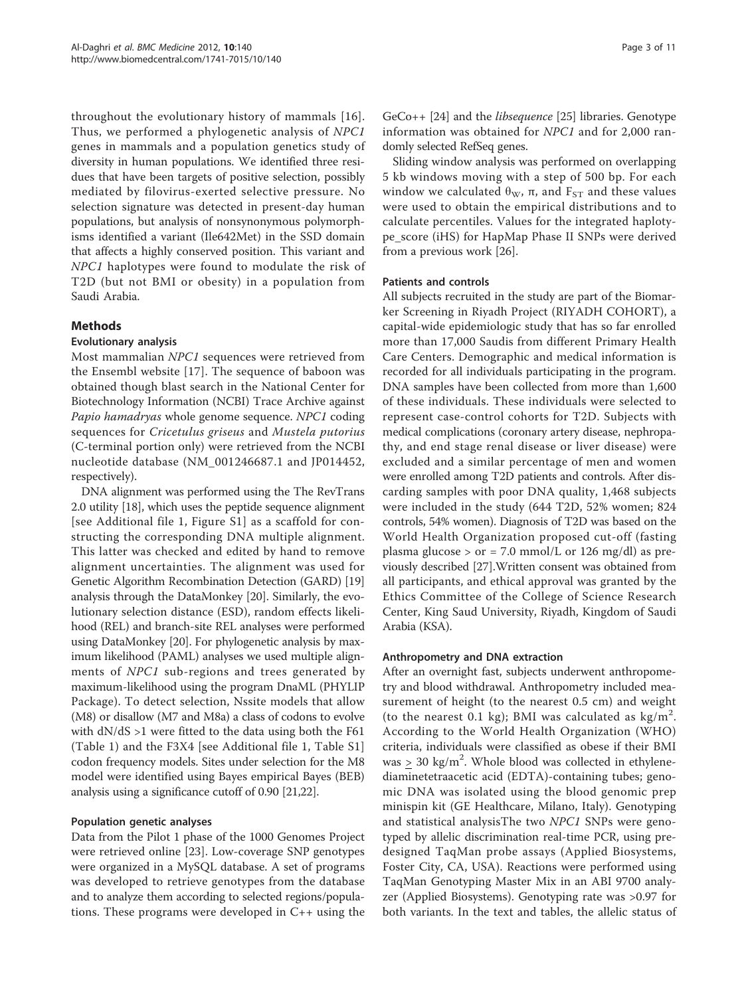throughout the evolutionary history of mammals [[16](#page-9-0)]. Thus, we performed a phylogenetic analysis of NPC1 genes in mammals and a population genetics study of diversity in human populations. We identified three residues that have been targets of positive selection, possibly mediated by filovirus-exerted selective pressure. No selection signature was detected in present-day human populations, but analysis of nonsynonymous polymorphisms identified a variant (Ile642Met) in the SSD domain that affects a highly conserved position. This variant and NPC1 haplotypes were found to modulate the risk of T2D (but not BMI or obesity) in a population from Saudi Arabia.

## Methods

#### Evolutionary analysis

Most mammalian NPC1 sequences were retrieved from the Ensembl website [[17\]](#page-9-0). The sequence of baboon was obtained though blast search in the National Center for Biotechnology Information (NCBI) Trace Archive against Papio hamadryas whole genome sequence. NPC1 coding sequences for Cricetulus griseus and Mustela putorius (C-terminal portion only) were retrieved from the NCBI nucleotide database (NM\_001246687.1 and JP014452, respectively).

DNA alignment was performed using the The RevTrans 2.0 utility [\[18\]](#page-9-0), which uses the peptide sequence alignment [see Additional file [1,](#page-8-0) Figure S1] as a scaffold for constructing the corresponding DNA multiple alignment. This latter was checked and edited by hand to remove alignment uncertainties. The alignment was used for Genetic Algorithm Recombination Detection (GARD) [[19](#page-9-0)] analysis through the DataMonkey [\[20\]](#page-9-0). Similarly, the evolutionary selection distance (ESD), random effects likelihood (REL) and branch-site REL analyses were performed using DataMonkey [[20](#page-9-0)]. For phylogenetic analysis by maximum likelihood (PAML) analyses we used multiple alignments of NPC1 sub-regions and trees generated by maximum-likelihood using the program DnaML (PHYLIP Package). To detect selection, Nssite models that allow (M8) or disallow (M7 and M8a) a class of codons to evolve with dN/dS >1 were fitted to the data using both the F61 (Table [1\)](#page-3-0) and the F3X4 [see Additional file [1](#page-8-0), Table S1] codon frequency models. Sites under selection for the M8 model were identified using Bayes empirical Bayes (BEB) analysis using a significance cutoff of 0.90 [[21,22](#page-9-0)].

## Population genetic analyses

Data from the Pilot 1 phase of the 1000 Genomes Project were retrieved online [\[23](#page-9-0)]. Low-coverage SNP genotypes were organized in a MySQL database. A set of programs was developed to retrieve genotypes from the database and to analyze them according to selected regions/populations. These programs were developed in C++ using the

GeCo++ [\[24](#page-9-0)] and the libsequence [\[25\]](#page-9-0) libraries. Genotype information was obtained for NPC1 and for 2,000 randomly selected RefSeq genes.

Sliding window analysis was performed on overlapping 5 kb windows moving with a step of 500 bp. For each window we calculated  $θ<sub>W</sub>$ , π, and  $F<sub>ST</sub>$  and these values were used to obtain the empirical distributions and to calculate percentiles. Values for the integrated haplotype\_score (iHS) for HapMap Phase II SNPs were derived from a previous work [[26\]](#page-9-0).

#### Patients and controls

All subjects recruited in the study are part of the Biomarker Screening in Riyadh Project (RIYADH COHORT), a capital-wide epidemiologic study that has so far enrolled more than 17,000 Saudis from different Primary Health Care Centers. Demographic and medical information is recorded for all individuals participating in the program. DNA samples have been collected from more than 1,600 of these individuals. These individuals were selected to represent case-control cohorts for T2D. Subjects with medical complications (coronary artery disease, nephropathy, and end stage renal disease or liver disease) were excluded and a similar percentage of men and women were enrolled among T2D patients and controls. After discarding samples with poor DNA quality, 1,468 subjects were included in the study (644 T2D, 52% women; 824 controls, 54% women). Diagnosis of T2D was based on the World Health Organization proposed cut-off (fasting plasma glucose  $>$  or = 7.0 mmol/L or 126 mg/dl) as previously described [[27](#page-9-0)].Written consent was obtained from all participants, and ethical approval was granted by the Ethics Committee of the College of Science Research Center, King Saud University, Riyadh, Kingdom of Saudi Arabia (KSA).

#### Anthropometry and DNA extraction

After an overnight fast, subjects underwent anthropometry and blood withdrawal. Anthropometry included measurement of height (to the nearest 0.5 cm) and weight (to the nearest 0.1 kg); BMI was calculated as  $\text{kg/m}^2$ . According to the World Health Organization (WHO) criteria, individuals were classified as obese if their BMI was  $\geq 30$  kg/m<sup>2</sup>. Whole blood was collected in ethylenediaminetetraacetic acid (EDTA)-containing tubes; genomic DNA was isolated using the blood genomic prep minispin kit (GE Healthcare, Milano, Italy). Genotyping and statistical analysisThe two NPC1 SNPs were genotyped by allelic discrimination real-time PCR, using predesigned TaqMan probe assays (Applied Biosystems, Foster City, CA, USA). Reactions were performed using TaqMan Genotyping Master Mix in an ABI 9700 analyzer (Applied Biosystems). Genotyping rate was >0.97 for both variants. In the text and tables, the allelic status of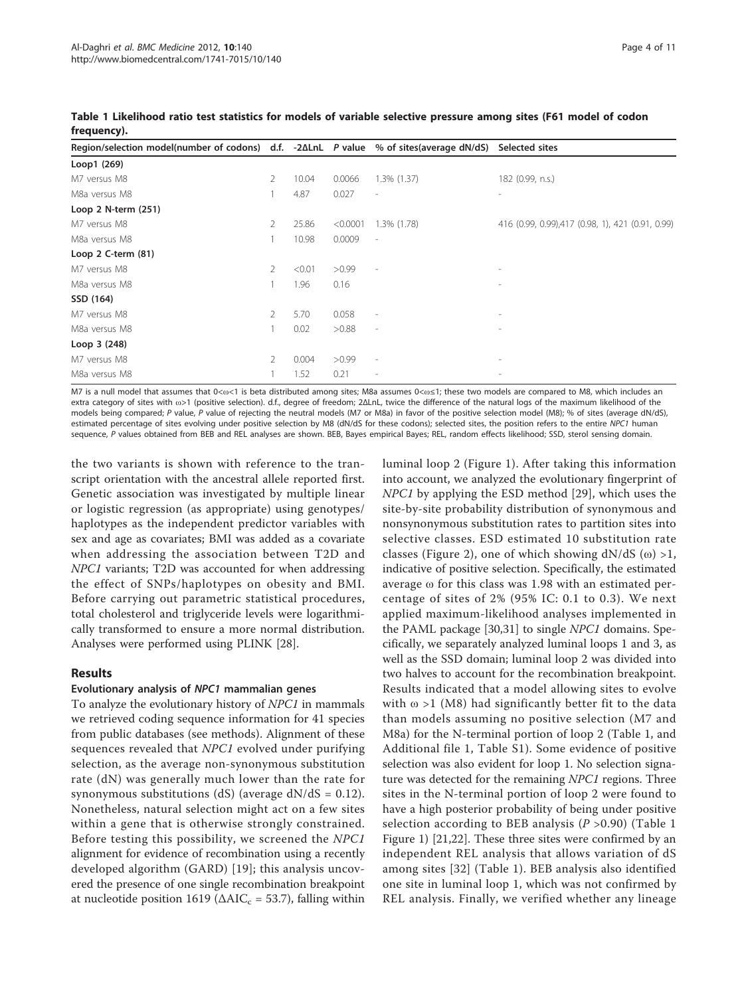| Region/selection model(number of codons) d.f. $-2\Delta LnL$ P value % of sites(average dN/dS) |                       |        |          |                          | Selected sites                                   |
|------------------------------------------------------------------------------------------------|-----------------------|--------|----------|--------------------------|--------------------------------------------------|
| Loop1 (269)                                                                                    |                       |        |          |                          |                                                  |
| M7 versus M8                                                                                   | 2                     | 10.04  | 0.0066   | $1.3\%$ $(1.37)$         | 182 (0.99, n.s.)                                 |
| M8a versus M8                                                                                  |                       | 4.87   | 0.027    | $\overline{\phantom{a}}$ |                                                  |
| Loop 2 N-term (251)                                                                            |                       |        |          |                          |                                                  |
| M7 versus M8                                                                                   | 2                     | 25.86  | < 0.0001 | 1.3% (1.78)              | 416 (0.99, 0.99),417 (0.98, 1), 421 (0.91, 0.99) |
| M8a versus M8                                                                                  |                       | 10.98  | 0.0009   | $\sim$                   |                                                  |
| Loop $2$ C-term $(81)$                                                                         |                       |        |          |                          |                                                  |
| M7 versus M8                                                                                   | $\mathbf{2}^{\prime}$ | < 0.01 | >0.99    | $\overline{\phantom{a}}$ |                                                  |
| M8a versus M8                                                                                  |                       | 1.96   | 0.16     |                          |                                                  |
| SSD (164)                                                                                      |                       |        |          |                          |                                                  |
| M7 versus M8                                                                                   | 2                     | 5.70   | 0.058    | $\overline{a}$           |                                                  |
| M8a versus M8                                                                                  |                       | 0.02   | >0.88    | $\overline{\phantom{a}}$ | $\overline{a}$                                   |
| Loop 3 (248)                                                                                   |                       |        |          |                          |                                                  |
| M7 versus M8                                                                                   | 2                     | 0.004  | >0.99    | $\overline{\phantom{a}}$ |                                                  |
| M8a versus M8                                                                                  |                       | 1.52   | 0.21     | $\overline{a}$           |                                                  |

<span id="page-3-0"></span>Table 1 Likelihood ratio test statistics for models of variable selective pressure among sites (F61 model of codon frequency).

M7 is a null model that assumes that 0<ω<1 is beta distributed among sites; M8a assumes 0<ω≤1; these two models are compared to M8, which includes an extra category of sites with ω>1 (positive selection). d.f., degree of freedom; 2ΔLnL, twice the difference of the natural logs of the maximum likelihood of the models being compared; P value, P value of rejecting the neutral models (M7 or M8a) in favor of the positive selection model (M8); % of sites (average dN/dS), estimated percentage of sites evolving under positive selection by M8 (dN/dS for these codons); selected sites, the position refers to the entire NPC1 human sequence, P values obtained from BEB and REL analyses are shown. BEB, Bayes empirical Bayes; REL, random effects likelihood; SSD, sterol sensing domain.

the two variants is shown with reference to the transcript orientation with the ancestral allele reported first. Genetic association was investigated by multiple linear or logistic regression (as appropriate) using genotypes/ haplotypes as the independent predictor variables with sex and age as covariates; BMI was added as a covariate when addressing the association between T2D and NPC1 variants; T2D was accounted for when addressing the effect of SNPs/haplotypes on obesity and BMI. Before carrying out parametric statistical procedures, total cholesterol and triglyceride levels were logarithmically transformed to ensure a more normal distribution. Analyses were performed using PLINK [\[28\]](#page-9-0).

## Results

## Evolutionary analysis of NPC1 mammalian genes

To analyze the evolutionary history of NPC1 in mammals we retrieved coding sequence information for 41 species from public databases (see methods). Alignment of these sequences revealed that NPC1 evolved under purifying selection, as the average non-synonymous substitution rate (dN) was generally much lower than the rate for synonymous substitutions (dS) (average  $dN/dS = 0.12$ ). Nonetheless, natural selection might act on a few sites within a gene that is otherwise strongly constrained. Before testing this possibility, we screened the NPC1 alignment for evidence of recombination using a recently developed algorithm (GARD) [[19](#page-9-0)]; this analysis uncovered the presence of one single recombination breakpoint at nucleotide position 1619 ( $\triangle AIC_c = 53.7$ ), falling within luminal loop 2 (Figure [1\)](#page-1-0). After taking this information into account, we analyzed the evolutionary fingerprint of NPC1 by applying the ESD method [\[29](#page-9-0)], which uses the site-by-site probability distribution of synonymous and nonsynonymous substitution rates to partition sites into selective classes. ESD estimated 10 substitution rate classes (Figure [2](#page-4-0)), one of which showing  $dN/dS$  (ω) >1, indicative of positive selection. Specifically, the estimated average ω for this class was 1.98 with an estimated percentage of sites of 2% (95% IC: 0.1 to 0.3). We next applied maximum-likelihood analyses implemented in the PAML package [[30](#page-9-0),[31\]](#page-9-0) to single NPC1 domains. Specifically, we separately analyzed luminal loops 1 and 3, as well as the SSD domain; luminal loop 2 was divided into two halves to account for the recombination breakpoint. Results indicated that a model allowing sites to evolve with  $\omega$  >1 (M8) had significantly better fit to the data than models assuming no positive selection (M7 and M8a) for the N-terminal portion of loop 2 (Table 1, and Additional file [1,](#page-8-0) Table S1). Some evidence of positive selection was also evident for loop 1. No selection signature was detected for the remaining NPC1 regions. Three sites in the N-terminal portion of loop 2 were found to have a high posterior probability of being under positive selection according to BEB analysis ( $P > 0.90$ ) (Table 1 Figure [1](#page-1-0)) [[21](#page-9-0),[22](#page-9-0)]. These three sites were confirmed by an independent REL analysis that allows variation of dS among sites [[32\]](#page-9-0) (Table 1). BEB analysis also identified one site in luminal loop 1, which was not confirmed by REL analysis. Finally, we verified whether any lineage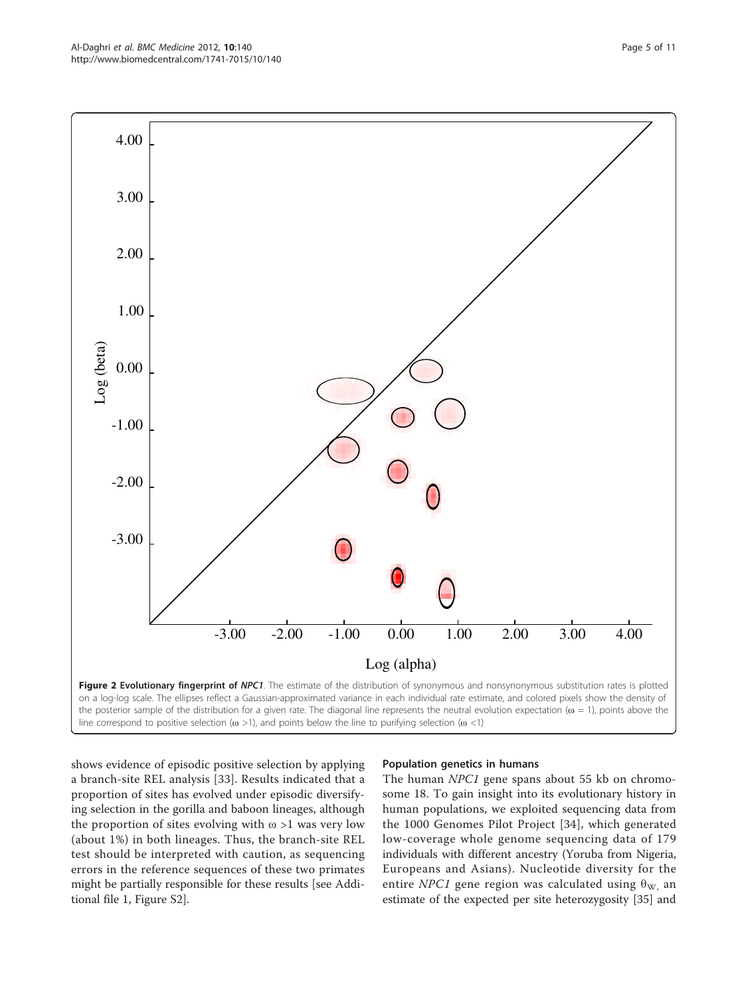<span id="page-4-0"></span>

shows evidence of episodic positive selection by applying a branch-site REL analysis [[33\]](#page-9-0). Results indicated that a proportion of sites has evolved under episodic diversifying selection in the gorilla and baboon lineages, although the proportion of sites evolving with  $\omega > 1$  was very low (about 1%) in both lineages. Thus, the branch-site REL test should be interpreted with caution, as sequencing errors in the reference sequences of these two primates might be partially responsible for these results [see Additional file [1](#page-8-0), Figure S2].

## Population genetics in humans

The human NPC1 gene spans about 55 kb on chromosome 18. To gain insight into its evolutionary history in human populations, we exploited sequencing data from the 1000 Genomes Pilot Project [[34](#page-9-0)], which generated low-coverage whole genome sequencing data of 179 individuals with different ancestry (Yoruba from Nigeria, Europeans and Asians). Nucleotide diversity for the entire NPC1 gene region was calculated using  $\theta_{\rm W}$  an estimate of the expected per site heterozygosity [\[35](#page-9-0)] and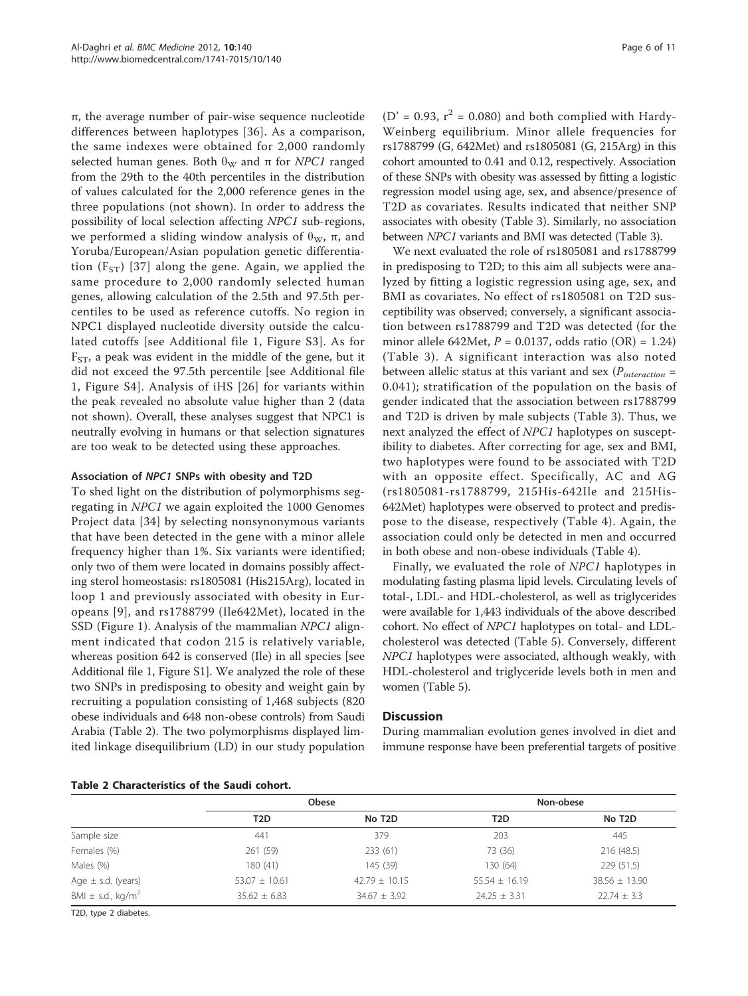π, the average number of pair-wise sequence nucleotide differences between haplotypes [[36\]](#page-9-0). As a comparison, the same indexes were obtained for 2,000 randomly selected human genes. Both  $\theta_W$  and  $\pi$  for *NPC1* ranged from the 29th to the 40th percentiles in the distribution of values calculated for the 2,000 reference genes in the three populations (not shown). In order to address the possibility of local selection affecting NPC1 sub-regions, we performed a sliding window analysis of  $θ<sub>W</sub>$ , π, and Yoruba/European/Asian population genetic differentiation  $(F_{ST})$  [\[37\]](#page-10-0) along the gene. Again, we applied the same procedure to 2,000 randomly selected human genes, allowing calculation of the 2.5th and 97.5th percentiles to be used as reference cutoffs. No region in NPC1 displayed nucleotide diversity outside the calculated cutoffs [see Additional file [1,](#page-8-0) Figure S3]. As for  $F_{ST}$ , a peak was evident in the middle of the gene, but it did not exceed the 97.5th percentile [see Additional file [1,](#page-8-0) Figure S4]. Analysis of iHS [[26\]](#page-9-0) for variants within the peak revealed no absolute value higher than 2 (data not shown). Overall, these analyses suggest that NPC1 is neutrally evolving in humans or that selection signatures are too weak to be detected using these approaches.

## Association of NPC1 SNPs with obesity and T2D

To shed light on the distribution of polymorphisms segregating in NPC1 we again exploited the 1000 Genomes Project data [\[34\]](#page-9-0) by selecting nonsynonymous variants that have been detected in the gene with a minor allele frequency higher than 1%. Six variants were identified; only two of them were located in domains possibly affecting sterol homeostasis: rs1805081 (His215Arg), located in loop 1 and previously associated with obesity in Europeans [\[9\]](#page-9-0), and rs1788799 (Ile642Met), located in the SSD (Figure [1\)](#page-1-0). Analysis of the mammalian NPC1 alignment indicated that codon 215 is relatively variable, whereas position 642 is conserved (Ile) in all species [see Additional file [1](#page-8-0), Figure S1]. We analyzed the role of these two SNPs in predisposing to obesity and weight gain by recruiting a population consisting of 1,468 subjects (820 obese individuals and 648 non-obese controls) from Saudi Arabia (Table 2). The two polymorphisms displayed limited linkage disequilibrium (LD) in our study population

(D' = 0.93,  $r^2$  = 0.080) and both complied with Hardy-Weinberg equilibrium. Minor allele frequencies for rs1788799 (G, 642Met) and rs1805081 (G, 215Arg) in this cohort amounted to 0.41 and 0.12, respectively. Association of these SNPs with obesity was assessed by fitting a logistic regression model using age, sex, and absence/presence of T2D as covariates. Results indicated that neither SNP associates with obesity (Table [3](#page-6-0)). Similarly, no association between NPC1 variants and BMI was detected (Table [3\)](#page-6-0).

We next evaluated the role of rs1805081 and rs1788799 in predisposing to T2D; to this aim all subjects were analyzed by fitting a logistic regression using age, sex, and BMI as covariates. No effect of rs1805081 on T2D susceptibility was observed; conversely, a significant association between rs1788799 and T2D was detected (for the minor allele 642Met,  $P = 0.0137$ , odds ratio (OR) = 1.24) (Table [3](#page-6-0)). A significant interaction was also noted between allelic status at this variant and sex ( $P_{interaction}$  = 0.041); stratification of the population on the basis of gender indicated that the association between rs1788799 and T2D is driven by male subjects (Table [3\)](#page-6-0). Thus, we next analyzed the effect of NPC1 haplotypes on susceptibility to diabetes. After correcting for age, sex and BMI, two haplotypes were found to be associated with T2D with an opposite effect. Specifically, AC and AG (rs1805081-rs1788799, 215His-642Ile and 215His-642Met) haplotypes were observed to protect and predispose to the disease, respectively (Table [4\)](#page-6-0). Again, the association could only be detected in men and occurred in both obese and non-obese individuals (Table [4\)](#page-6-0).

Finally, we evaluated the role of NPC1 haplotypes in modulating fasting plasma lipid levels. Circulating levels of total-, LDL- and HDL-cholesterol, as well as triglycerides were available for 1,443 individuals of the above described cohort. No effect of NPC1 haplotypes on total- and LDLcholesterol was detected (Table [5\)](#page-7-0). Conversely, different NPC1 haplotypes were associated, although weakly, with HDL-cholesterol and triglyceride levels both in men and women (Table [5\)](#page-7-0).

## **Discussion**

During mammalian evolution genes involved in diet and immune response have been preferential targets of positive

|  | Table 2 Characteristics of the Saudi cohort. |  |  |  |
|--|----------------------------------------------|--|--|--|
|--|----------------------------------------------|--|--|--|

|                                   |                   | Obese               |                   | Non-obese           |
|-----------------------------------|-------------------|---------------------|-------------------|---------------------|
|                                   | T <sub>2</sub> D  | No T <sub>2</sub> D | T2D               | No T <sub>2</sub> D |
| Sample size                       | 441               | 379                 | 203               | 445                 |
| Females (%)                       | 261 (59)          | 233 (61)            | 73 (36)           | 216 (48.5)          |
| Males (%)                         | 180 (41)          | 145 (39)            | 130 (64)          | 229(51.5)           |
| Age $\pm$ s.d. (years)            | $53.07 \pm 10.61$ | $42.79 \pm 10.15$   | $55.54 \pm 16.19$ | $38.56 \pm 13.90$   |
| BMI $\pm$ s.d., kg/m <sup>2</sup> | $35.62 \pm 6.83$  | $34.67 \pm 3.92$    | $24.25 \pm 3.31$  | $22.74 \pm 3.3$     |

T2D, type 2 diabetes.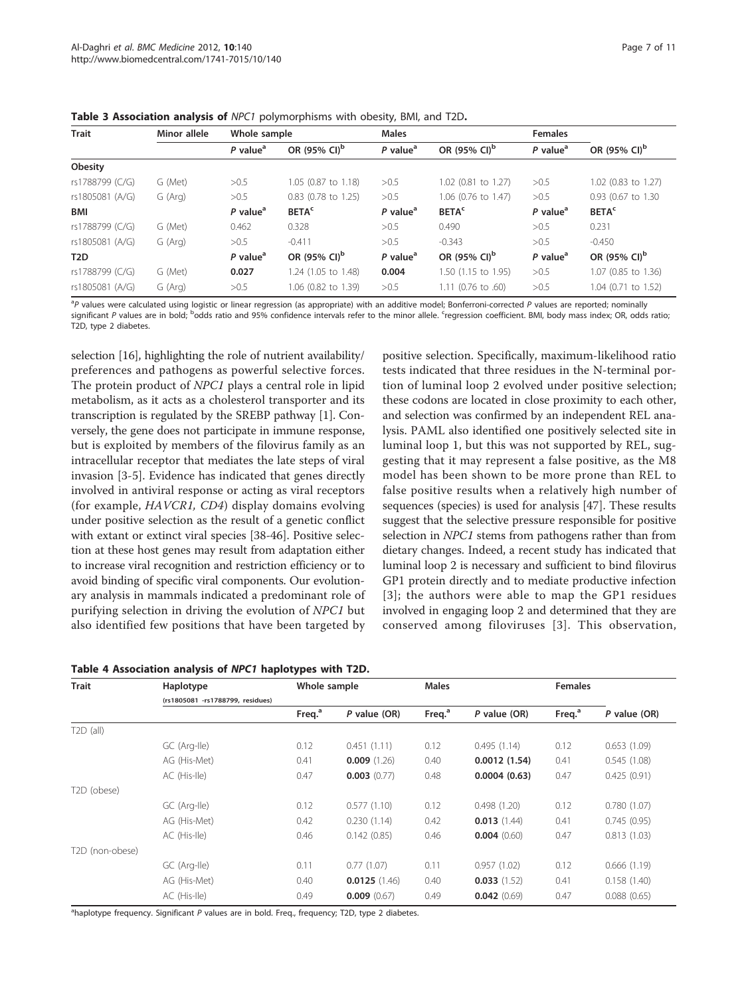| <b>Trait</b>     | Minor allele<br>Whole sample |                        |                          | <b>Males</b>                        |                          | <b>Females</b>         |                          |
|------------------|------------------------------|------------------------|--------------------------|-------------------------------------|--------------------------|------------------------|--------------------------|
|                  |                              | $P$ value <sup>a</sup> | OR (95% CI) <sup>b</sup> | $P$ value <sup><math>a</math></sup> | OR (95% CI) <sup>b</sup> | $P$ value <sup>a</sup> | OR (95% CI) <sup>b</sup> |
| Obesity          |                              |                        |                          |                                     |                          |                        |                          |
| rs1788799 (C/G)  | G (Met)                      | >0.5                   | 1.05 (0.87 to 1.18)      | >0.5                                | 1.02 (0.81 to 1.27)      | >0.5                   | 1.02 (0.83 to 1.27)      |
| rs1805081 (A/G)  | G (Arg)                      | >0.5                   | 0.83 (0.78 to 1.25)      | >0.5                                | 1.06 (0.76 to 1.47)      | >0.5                   | 0.93 (0.67 to 1.30)      |
| BMI              |                              | $P$ value <sup>a</sup> | <b>BETA<sup>c</sup></b>  | P value <sup>a</sup>                | <b>BETA<sup>c</sup></b>  | P value <sup>a</sup>   | <b>BETA<sup>c</sup></b>  |
| rs1788799 (C/G)  | G (Met)                      | 0.462                  | 0.328                    | >0.5                                | 0.490                    | >0.5                   | 0.231                    |
| rs1805081 (A/G)  | G (Arg)                      | >0.5                   | $-0.411$                 | >0.5                                | $-0.343$                 | >0.5                   | $-0.450$                 |
| T <sub>2</sub> D |                              | $P$ value <sup>a</sup> | OR (95% CI) <sup>b</sup> | $P$ value <sup>a</sup>              | OR (95% CI) <sup>b</sup> | $P$ value <sup>a</sup> | OR (95% CI) <sup>b</sup> |
| rs1788799 (C/G)  | G (Met)                      | 0.027                  | 1.24 (1.05 to 1.48)      | 0.004                               | 1.50 (1.15 to 1.95)      | >0.5                   | 1.07 (0.85 to 1.36)      |
| rs1805081 (A/G)  | G (Arg)                      | >0.5                   | 1.06 (0.82 to 1.39)      | >0.5                                | $1.11$ (0.76 to .60)     | >0.5                   | 1.04 (0.71 to 1.52)      |

<span id="page-6-0"></span>Table 3 Association analysis of NPC1 polymorphisms with obesity, BMI, and T2D.

<sup>a</sup>P values were calculated using logistic or linear regression (as appropriate) with an additive model; Bonferroni-corrected P values are reported; nominally significant P values are in bold; <sup>b</sup>odds ratio and 95% confidence intervals refer to the minor allele. <sup>c</sup>regression coefficient. BMI, body mass index; OR, odds ratio; T2D, type 2 diabetes.

> positive selection. Specifically, maximum-likelihood ratio tests indicated that three residues in the N-terminal portion of luminal loop 2 evolved under positive selection; these codons are located in close proximity to each other, and selection was confirmed by an independent REL analysis. PAML also identified one positively selected site in luminal loop 1, but this was not supported by REL, suggesting that it may represent a false positive, as the M8 model has been shown to be more prone than REL to false positive results when a relatively high number of sequences (species) is used for analysis [\[47](#page-10-0)]. These results suggest that the selective pressure responsible for positive selection in NPC1 stems from pathogens rather than from dietary changes. Indeed, a recent study has indicated that luminal loop 2 is necessary and sufficient to bind filovirus GP1 protein directly and to mediate productive infection [[3\]](#page-9-0); the authors were able to map the GP1 residues involved in engaging loop 2 and determined that they are conserved among filoviruses [\[3\]](#page-9-0). This observation,

selection [[16](#page-9-0)], highlighting the role of nutrient availability/ preferences and pathogens as powerful selective forces. The protein product of NPC1 plays a central role in lipid metabolism, as it acts as a cholesterol transporter and its transcription is regulated by the SREBP pathway [\[1](#page-9-0)]. Conversely, the gene does not participate in immune response, but is exploited by members of the filovirus family as an intracellular receptor that mediates the late steps of viral invasion [[3-5](#page-9-0)]. Evidence has indicated that genes directly involved in antiviral response or acting as viral receptors (for example, HAVCR1, CD4) display domains evolving under positive selection as the result of a genetic conflict with extant or extinct viral species [\[38-46](#page-10-0)]. Positive selection at these host genes may result from adaptation either to increase viral recognition and restriction efficiency or to avoid binding of specific viral components. Our evolutionary analysis in mammals indicated a predominant role of purifying selection in driving the evolution of NPC1 but also identified few positions that have been targeted by

|  | Table 4 Association analysis of NPC1 haplotypes with T2D. |  |  |  |
|--|-----------------------------------------------------------|--|--|--|
|  |                                                           |  |  |  |

| <b>Trait</b>             | Haplotype                        | Whole sample       |              | <b>Males</b>       |                |                    |                |
|--------------------------|----------------------------------|--------------------|--------------|--------------------|----------------|--------------------|----------------|
|                          | (rs1805081 -rs1788799, residues) |                    |              |                    |                |                    |                |
|                          |                                  | Freq. <sup>a</sup> | P value (OR) | Freq. <sup>a</sup> | $P$ value (OR) | Freq. <sup>a</sup> | $P$ value (OR) |
| $T2D$ (all)              |                                  |                    |              |                    |                |                    |                |
|                          | GC (Arg-Ile)                     | 0.12               | 0.451(1.11)  | 0.12               | 0.495(1.14)    | 0.12               | 0.653(1.09)    |
|                          | AG (His-Met)                     | 0.41               | 0.009(1.26)  | 0.40               | 0.0012(1.54)   | 0.41               | 0.545(1.08)    |
|                          | AC (His-Ile)                     | 0.47               | 0.003(0.77)  | 0.48               | 0.0004(0.63)   | 0.47               | 0.425(0.91)    |
| T <sub>2</sub> D (obese) |                                  |                    |              |                    |                |                    |                |
|                          | GC (Arg-Ile)                     | 0.12               | 0.577(1.10)  | 0.12               | 0.498(1.20)    | 0.12               | 0.780(1.07)    |
|                          | AG (His-Met)                     | 0.42               | 0.230(1.14)  | 0.42               | 0.013(1.44)    | 0.41               | 0.745(0.95)    |
|                          | AC (His-Ile)                     | 0.46               | 0.142(0.85)  | 0.46               | 0.004(0.60)    | 0.47               | 0.813(1.03)    |
| T2D (non-obese)          |                                  |                    |              |                    |                |                    |                |
|                          | GC (Arg-Ile)                     | 0.11               | 0.77(1.07)   | 0.11               | 0.957(1.02)    | 0.12               | 0.666(1.19)    |
|                          | AG (His-Met)                     | 0.40               | 0.0125(1.46) | 0.40               | 0.033(1.52)    | 0.41               | 0.158(1.40)    |
|                          | AC (His-Ile)                     | 0.49               | 0.009(0.67)  | 0.49               | 0.042(0.69)    | 0.47               | 0.088(0.65)    |

<sup>a</sup>haplotype frequency. Significant P values are in bold. Freq., frequency; T2D, type 2 diabetes.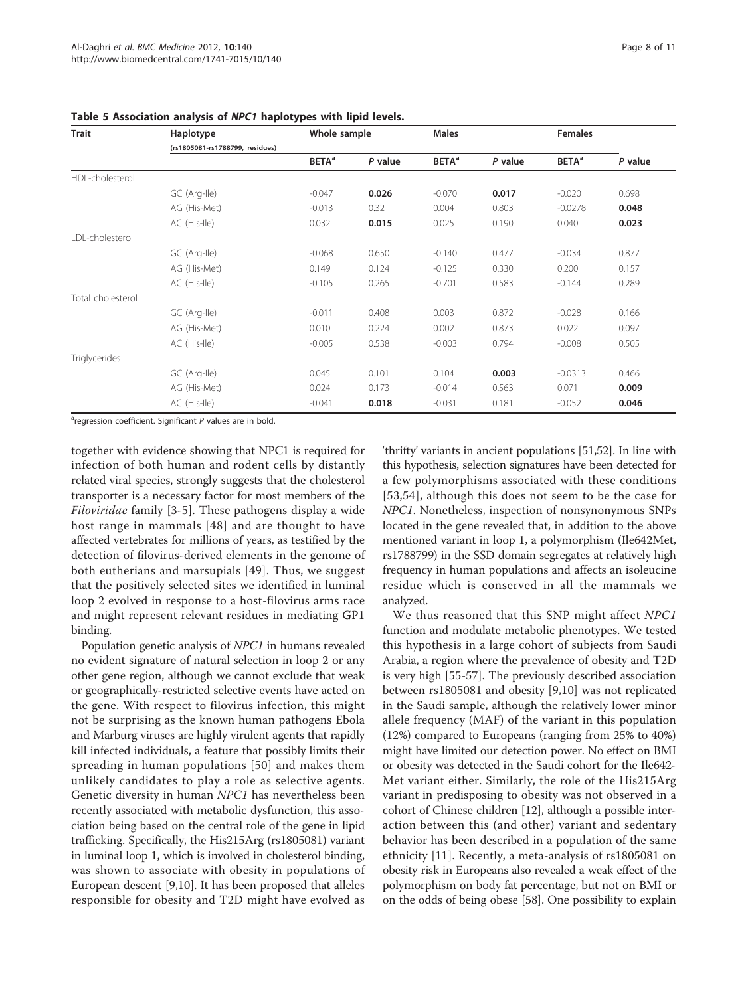| <b>Trait</b>         | Haplotype                       | Whole sample             |         | <b>Males</b>             |         | <b>Females</b>           |         |
|----------------------|---------------------------------|--------------------------|---------|--------------------------|---------|--------------------------|---------|
|                      | (rs1805081-rs1788799, residues) |                          |         |                          |         |                          |         |
|                      |                                 | <b>BETA</b> <sup>a</sup> | P value | <b>BETA</b> <sup>a</sup> | P value | <b>BETA</b> <sup>a</sup> | P value |
| HDL-cholesterol      |                                 |                          |         |                          |         |                          |         |
|                      | GC (Arg-Ile)                    | $-0.047$                 | 0.026   | $-0.070$                 | 0.017   | $-0.020$                 | 0.698   |
|                      | AG (His-Met)                    | $-0.013$                 | 0.32    | 0.004                    | 0.803   | $-0.0278$                | 0.048   |
|                      | AC (His-Ile)                    | 0.032                    | 0.015   | 0.025                    | 0.190   | 0.040                    | 0.023   |
| LDL-cholesterol      |                                 |                          |         |                          |         |                          |         |
|                      | GC (Arg-Ile)                    | $-0.068$                 | 0.650   | $-0.140$                 | 0.477   | $-0.034$                 | 0.877   |
|                      | AG (His-Met)                    | 0.149                    | 0.124   | $-0.125$                 | 0.330   | 0.200                    | 0.157   |
|                      | AC (His-Ile)                    | $-0.105$                 | 0.265   | $-0.701$                 | 0.583   | $-0.144$                 | 0.289   |
| Total cholesterol    |                                 |                          |         |                          |         |                          |         |
|                      | GC (Arg-Ile)                    | $-0.011$                 | 0.408   | 0.003                    | 0.872   | $-0.028$                 | 0.166   |
|                      | AG (His-Met)                    | 0.010                    | 0.224   | 0.002                    | 0.873   | 0.022                    | 0.097   |
|                      | AC (His-Ile)                    | $-0.005$                 | 0.538   | $-0.003$                 | 0.794   | $-0.008$                 | 0.505   |
| <b>Triglycerides</b> |                                 |                          |         |                          |         |                          |         |
|                      | GC (Arg-Ile)                    | 0.045                    | 0.101   | 0.104                    | 0.003   | $-0.0313$                | 0.466   |
|                      | AG (His-Met)                    | 0.024                    | 0.173   | $-0.014$                 | 0.563   | 0.071                    | 0.009   |
|                      | AC (His-Ile)                    | $-0.041$                 | 0.018   | $-0.031$                 | 0.181   | $-0.052$                 | 0.046   |

<span id="page-7-0"></span>Table 5 Association analysis of NPC1 haplotypes with lipid levels.

<sup>a</sup>regression coefficient. Significant P values are in bold.

together with evidence showing that NPC1 is required for infection of both human and rodent cells by distantly related viral species, strongly suggests that the cholesterol transporter is a necessary factor for most members of the Filoviridae family [\[3](#page-9-0)-[5\]](#page-9-0). These pathogens display a wide host range in mammals [[48\]](#page-10-0) and are thought to have affected vertebrates for millions of years, as testified by the detection of filovirus-derived elements in the genome of both eutherians and marsupials [\[49\]](#page-10-0). Thus, we suggest that the positively selected sites we identified in luminal loop 2 evolved in response to a host-filovirus arms race and might represent relevant residues in mediating GP1 binding.

Population genetic analysis of NPC1 in humans revealed no evident signature of natural selection in loop 2 or any other gene region, although we cannot exclude that weak or geographically-restricted selective events have acted on the gene. With respect to filovirus infection, this might not be surprising as the known human pathogens Ebola and Marburg viruses are highly virulent agents that rapidly kill infected individuals, a feature that possibly limits their spreading in human populations [[50](#page-10-0)] and makes them unlikely candidates to play a role as selective agents. Genetic diversity in human NPC1 has nevertheless been recently associated with metabolic dysfunction, this association being based on the central role of the gene in lipid trafficking. Specifically, the His215Arg (rs1805081) variant in luminal loop 1, which is involved in cholesterol binding, was shown to associate with obesity in populations of European descent [[9,10](#page-9-0)]. It has been proposed that alleles responsible for obesity and T2D might have evolved as 'thrifty' variants in ancient populations [[51,52\]](#page-10-0). In line with this hypothesis, selection signatures have been detected for a few polymorphisms associated with these conditions [[53](#page-10-0),[54](#page-10-0)], although this does not seem to be the case for NPC1. Nonetheless, inspection of nonsynonymous SNPs located in the gene revealed that, in addition to the above mentioned variant in loop 1, a polymorphism (Ile642Met, rs1788799) in the SSD domain segregates at relatively high frequency in human populations and affects an isoleucine residue which is conserved in all the mammals we analyzed.

We thus reasoned that this SNP might affect NPC1 function and modulate metabolic phenotypes. We tested this hypothesis in a large cohort of subjects from Saudi Arabia, a region where the prevalence of obesity and T2D is very high [[55](#page-10-0)-[57\]](#page-10-0). The previously described association between rs1805081 and obesity [[9,10](#page-9-0)] was not replicated in the Saudi sample, although the relatively lower minor allele frequency (MAF) of the variant in this population (12%) compared to Europeans (ranging from 25% to 40%) might have limited our detection power. No effect on BMI or obesity was detected in the Saudi cohort for the Ile642- Met variant either. Similarly, the role of the His215Arg variant in predisposing to obesity was not observed in a cohort of Chinese children [\[12](#page-9-0)], although a possible interaction between this (and other) variant and sedentary behavior has been described in a population of the same ethnicity [[11\]](#page-9-0). Recently, a meta-analysis of rs1805081 on obesity risk in Europeans also revealed a weak effect of the polymorphism on body fat percentage, but not on BMI or on the odds of being obese [[58](#page-10-0)]. One possibility to explain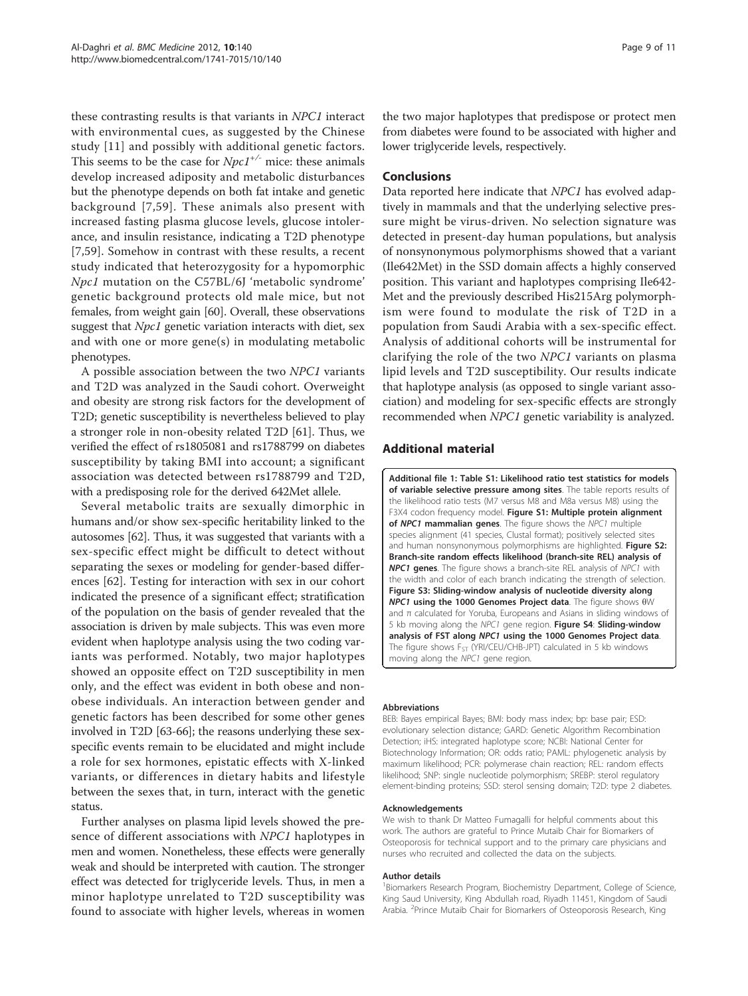<span id="page-8-0"></span>these contrasting results is that variants in NPC1 interact with environmental cues, as suggested by the Chinese study [[11](#page-9-0)] and possibly with additional genetic factors. This seems to be the case for  $Npc1^{+/}$  mice: these animals develop increased adiposity and metabolic disturbances but the phenotype depends on both fat intake and genetic background [[7,](#page-9-0)[59\]](#page-10-0). These animals also present with increased fasting plasma glucose levels, glucose intolerance, and insulin resistance, indicating a T2D phenotype [[7](#page-9-0)[,59](#page-10-0)]. Somehow in contrast with these results, a recent study indicated that heterozygosity for a hypomorphic Npc1 mutation on the C57BL/6J 'metabolic syndrome' genetic background protects old male mice, but not females, from weight gain [[60](#page-10-0)]. Overall, these observations suggest that *Npc1* genetic variation interacts with diet, sex and with one or more gene(s) in modulating metabolic phenotypes.

A possible association between the two NPC1 variants and T2D was analyzed in the Saudi cohort. Overweight and obesity are strong risk factors for the development of T2D; genetic susceptibility is nevertheless believed to play a stronger role in non-obesity related T2D [[61](#page-10-0)]. Thus, we verified the effect of rs1805081 and rs1788799 on diabetes susceptibility by taking BMI into account; a significant association was detected between rs1788799 and T2D, with a predisposing role for the derived 642Met allele.

Several metabolic traits are sexually dimorphic in humans and/or show sex-specific heritability linked to the autosomes [[62](#page-10-0)]. Thus, it was suggested that variants with a sex-specific effect might be difficult to detect without separating the sexes or modeling for gender-based differences [\[62](#page-10-0)]. Testing for interaction with sex in our cohort indicated the presence of a significant effect; stratification of the population on the basis of gender revealed that the association is driven by male subjects. This was even more evident when haplotype analysis using the two coding variants was performed. Notably, two major haplotypes showed an opposite effect on T2D susceptibility in men only, and the effect was evident in both obese and nonobese individuals. An interaction between gender and genetic factors has been described for some other genes involved in T2D [\[63-66](#page-10-0)]; the reasons underlying these sexspecific events remain to be elucidated and might include a role for sex hormones, epistatic effects with X-linked variants, or differences in dietary habits and lifestyle between the sexes that, in turn, interact with the genetic status.

Further analyses on plasma lipid levels showed the presence of different associations with NPC1 haplotypes in men and women. Nonetheless, these effects were generally weak and should be interpreted with caution. The stronger effect was detected for triglyceride levels. Thus, in men a minor haplotype unrelated to T2D susceptibility was found to associate with higher levels, whereas in women

the two major haplotypes that predispose or protect men from diabetes were found to be associated with higher and lower triglyceride levels, respectively.

#### Conclusions

Data reported here indicate that NPC1 has evolved adaptively in mammals and that the underlying selective pressure might be virus-driven. No selection signature was detected in present-day human populations, but analysis of nonsynonymous polymorphisms showed that a variant (Ile642Met) in the SSD domain affects a highly conserved position. This variant and haplotypes comprising Ile642- Met and the previously described His215Arg polymorphism were found to modulate the risk of T2D in a population from Saudi Arabia with a sex-specific effect. Analysis of additional cohorts will be instrumental for clarifying the role of the two NPC1 variants on plasma lipid levels and T2D susceptibility. Our results indicate that haplotype analysis (as opposed to single variant association) and modeling for sex-specific effects are strongly recommended when NPC1 genetic variability is analyzed.

#### Additional material

[Additional file 1: T](http://www.biomedcentral.com/content/supplementary/1741-7015-10-140-S1.PDF)able S1: Likelihood ratio test statistics for models of variable selective pressure among sites. The table reports results of the likelihood ratio tests (M7 versus M8 and M8a versus M8) using the F3X4 codon frequency model. Figure S1: Multiple protein alignment of NPC1 mammalian genes. The figure shows the NPC1 multiple species alignment (41 species, Clustal format); positively selected sites and human nonsynonymous polymorphisms are highlighted. Figure S2: Branch-site random effects likelihood (branch-site REL) analysis of **NPC1 genes.** The figure shows a branch-site REL analysis of NPC1 with the width and color of each branch indicating the strength of selection. Figure S3: Sliding-window analysis of nucleotide diversity along NPC1 using the 1000 Genomes Project data. The figure shows θW and  $π$  calculated for Yoruba, Europeans and Asians in sliding windows of 5 kb moving along the NPC1 gene region. Figure S4: Sliding-window analysis of FST along NPC1 using the 1000 Genomes Project data. The figure shows  $F_{ST}$  (YRI/CEU/CHB-JPT) calculated in 5 kb windows moving along the NPC1 gene region.

#### Abbreviations

BEB: Bayes empirical Bayes; BMI: body mass index; bp: base pair; ESD: evolutionary selection distance; GARD: Genetic Algorithm Recombination Detection; iHS: integrated haplotype score; NCBI: National Center for Biotechnology Information; OR: odds ratio; PAML: phylogenetic analysis by maximum likelihood; PCR: polymerase chain reaction; REL: random effects likelihood; SNP: single nucleotide polymorphism; SREBP: sterol regulatory element-binding proteins; SSD: sterol sensing domain; T2D: type 2 diabetes.

#### Acknowledgements

We wish to thank Dr Matteo Fumagalli for helpful comments about this work. The authors are grateful to Prince Mutaib Chair for Biomarkers of Osteoporosis for technical support and to the primary care physicians and nurses who recruited and collected the data on the subjects.

#### Author details

<sup>1</sup> Biomarkers Research Program, Biochemistry Department, College of Science King Saud University, King Abdullah road, Riyadh 11451, Kingdom of Saudi Arabia. <sup>2</sup> Prince Mutaib Chair for Biomarkers of Osteoporosis Research, King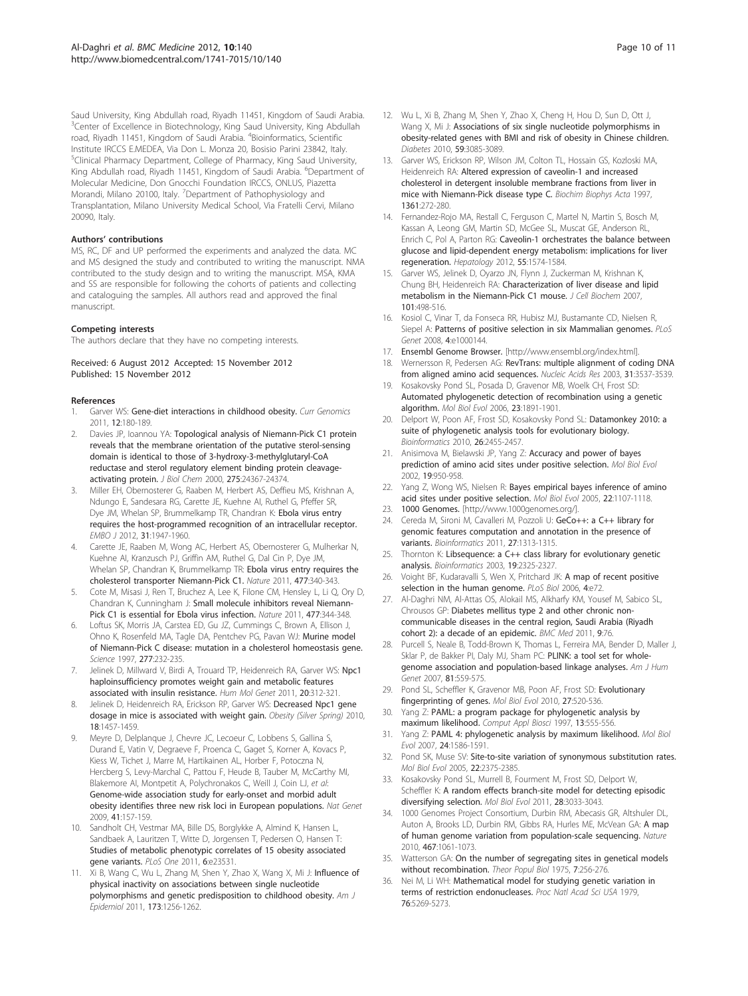<span id="page-9-0"></span>Saud University, King Abdullah road, Riyadh 11451, Kingdom of Saudi Arabia. <sup>3</sup>Center of Excellence in Biotechnology, King Saud University, King Abdullah road, Riyadh 11451, Kingdom of Saudi Arabia. <sup>4</sup>Bioinformatics, Scientific Institute IRCCS E.MEDEA, Via Don L. Monza 20, Bosisio Parini 23842, Italy. <sup>5</sup>Clinical Pharmacy Department, College of Pharmacy, King Saud University, King Abdullah road, Riyadh 11451, Kingdom of Saudi Arabia. <sup>6</sup>Department of Molecular Medicine, Don Gnocchi Foundation IRCCS, ONLUS, Piazetta Morandi, Milano 20100, Italy. <sup>7</sup>Department of Pathophysiology and Transplantation, Milano University Medical School, Via Fratelli Cervi, Milano 20090, Italy.

#### Authors' contributions

MS, RC, DF and UP performed the experiments and analyzed the data. MC and MS designed the study and contributed to writing the manuscript. NMA contributed to the study design and to writing the manuscript. MSA, KMA and SS are responsible for following the cohorts of patients and collecting and cataloguing the samples. All authors read and approved the final manuscript.

#### Competing interests

The authors declare that they have no competing interests.

Received: 6 August 2012 Accepted: 15 November 2012 Published: 15 November 2012

#### References

- 1. Garver WS: [Gene-diet interactions in childhood obesity.](http://www.ncbi.nlm.nih.gov/pubmed/22043166?dopt=Abstract) Curr Genomics 2011, 12:180-189.
- 2. Davies JP, Ioannou YA: [Topological analysis of Niemann-Pick C1 protein](http://www.ncbi.nlm.nih.gov/pubmed/10821832?dopt=Abstract) [reveals that the membrane orientation of the putative sterol-sensing](http://www.ncbi.nlm.nih.gov/pubmed/10821832?dopt=Abstract) [domain is identical to those of 3-hydroxy-3-methylglutaryl-CoA](http://www.ncbi.nlm.nih.gov/pubmed/10821832?dopt=Abstract) [reductase and sterol regulatory element binding protein cleavage](http://www.ncbi.nlm.nih.gov/pubmed/10821832?dopt=Abstract)[activating protein.](http://www.ncbi.nlm.nih.gov/pubmed/10821832?dopt=Abstract) J Biol Chem 2000, 275:24367-24374.
- 3. Miller EH, Obernosterer G, Raaben M, Herbert AS, Deffieu MS, Krishnan A, Ndungo E, Sandesara RG, Carette JE, Kuehne AI, Ruthel G, Pfeffer SR, Dye JM, Whelan SP, Brummelkamp TR, Chandran K: [Ebola virus entry](http://www.ncbi.nlm.nih.gov/pubmed/22395071?dopt=Abstract) [requires the host-programmed recognition of an intracellular receptor.](http://www.ncbi.nlm.nih.gov/pubmed/22395071?dopt=Abstract) EMBO J 2012, 31:1947-1960.
- 4. Carette JE, Raaben M, Wong AC, Herbert AS, Obernosterer G, Mulherkar N, Kuehne AI, Kranzusch PJ, Griffin AM, Ruthel G, Dal Cin P, Dye JM, Whelan SP, Chandran K, Brummelkamp TR: [Ebola virus entry requires the](http://www.ncbi.nlm.nih.gov/pubmed/21866103?dopt=Abstract) [cholesterol transporter Niemann-Pick C1.](http://www.ncbi.nlm.nih.gov/pubmed/21866103?dopt=Abstract) Nature 2011, 477:340-343.
- 5. Cote M, Misasi J, Ren T, Bruchez A, Lee K, Filone CM, Hensley L, Li Q, Ory D, Chandran K, Cunningham J: [Small molecule inhibitors reveal Niemann-](http://www.ncbi.nlm.nih.gov/pubmed/21866101?dopt=Abstract)[Pick C1 is essential for Ebola virus infection.](http://www.ncbi.nlm.nih.gov/pubmed/21866101?dopt=Abstract) Nature 2011, 477:344-348.
- 6. Loftus SK, Morris JA, Carstea ED, Gu JZ, Cummings C, Brown A, Ellison J, Ohno K, Rosenfeld MA, Tagle DA, Pentchev PG, Pavan WJ: [Murine model](http://www.ncbi.nlm.nih.gov/pubmed/9211850?dopt=Abstract) [of Niemann-Pick C disease: mutation in a cholesterol homeostasis gene.](http://www.ncbi.nlm.nih.gov/pubmed/9211850?dopt=Abstract) Science 1997, 277:232-235.
- Jelinek D, Millward V, Birdi A, Trouard TP, Heidenreich RA, Garver WS: [Npc1](http://www.ncbi.nlm.nih.gov/pubmed/21036943?dopt=Abstract) [haploinsufficiency promotes weight gain and metabolic features](http://www.ncbi.nlm.nih.gov/pubmed/21036943?dopt=Abstract) [associated with insulin resistance.](http://www.ncbi.nlm.nih.gov/pubmed/21036943?dopt=Abstract) Hum Mol Genet 2011, 20:312-321.
- Jelinek D, Heidenreich RA, Erickson RP, Garver WS: Decreased Npc1 gene dosage in mice is associated with weight gain. Obesity (Silver Spring) 2010, 18:1457-1459.
- Meyre D, Delplanque J, Chevre JC, Lecoeur C, Lobbens S, Gallina S, Durand E, Vatin V, Degraeve F, Proenca C, Gaget S, Korner A, Kovacs P, Kiess W, Tichet J, Marre M, Hartikainen AL, Horber F, Potoczna N, Hercberg S, Levy-Marchal C, Pattou F, Heude B, Tauber M, McCarthy MI, Blakemore AI, Montpetit A, Polychronakos C, Weill J, Coin LJ, et al: [Genome-wide association study for early-onset and morbid adult](http://www.ncbi.nlm.nih.gov/pubmed/19151714?dopt=Abstract) [obesity identifies three new risk loci in European populations.](http://www.ncbi.nlm.nih.gov/pubmed/19151714?dopt=Abstract) Nat Genet 2009, 41:157-159.
- 10. Sandholt CH, Vestmar MA, Bille DS, Borglykke A, Almind K, Hansen L, Sandbaek A, Lauritzen T, Witte D, Jorgensen T, Pedersen O, Hansen T: [Studies of metabolic phenotypic correlates of 15 obesity associated](http://www.ncbi.nlm.nih.gov/pubmed/21912638?dopt=Abstract) [gene variants.](http://www.ncbi.nlm.nih.gov/pubmed/21912638?dopt=Abstract) PLoS One 2011, 6:e23531.
- 11. Xi B, Wang C, Wu L, Zhang M, Shen Y, Zhao X, Wang X, Mi J: [Influence of](http://www.ncbi.nlm.nih.gov/pubmed/21527513?dopt=Abstract) [physical inactivity on associations between single nucleotide](http://www.ncbi.nlm.nih.gov/pubmed/21527513?dopt=Abstract) [polymorphisms and genetic predisposition to childhood obesity.](http://www.ncbi.nlm.nih.gov/pubmed/21527513?dopt=Abstract) Am J Epidemiol 2011, 173:1256-1262.
- 12. Wu L, Xi B, Zhang M, Shen Y, Zhao X, Cheng H, Hou D, Sun D, Ott J, Wang X, Mi J: [Associations of six single nucleotide polymorphisms in](http://www.ncbi.nlm.nih.gov/pubmed/20843981?dopt=Abstract) [obesity-related genes with BMI and risk of obesity in Chinese children.](http://www.ncbi.nlm.nih.gov/pubmed/20843981?dopt=Abstract) Diabetes 2010, 59:3085-3089.
- 13. Garver WS, Erickson RP, Wilson JM, Colton TL, Hossain GS, Kozloski MA, Heidenreich RA: [Altered expression of caveolin-1 and increased](http://www.ncbi.nlm.nih.gov/pubmed/9375801?dopt=Abstract) [cholesterol in detergent insoluble membrane fractions from liver in](http://www.ncbi.nlm.nih.gov/pubmed/9375801?dopt=Abstract) [mice with Niemann-Pick disease type C.](http://www.ncbi.nlm.nih.gov/pubmed/9375801?dopt=Abstract) Biochim Biophys Acta 1997, 1361:272-280.
- 14. Fernandez-Rojo MA, Restall C, Ferguson C, Martel N, Martin S, Bosch M, Kassan A, Leong GM, Martin SD, McGee SL, Muscat GE, Anderson RL, Enrich C, Pol A, Parton RG: Caveolin-1 [orchestrates the balance between](http://www.ncbi.nlm.nih.gov/pubmed/22105343?dopt=Abstract) [glucose and lipid-dependent energy metabolism: implications for liver](http://www.ncbi.nlm.nih.gov/pubmed/22105343?dopt=Abstract) [regeneration.](http://www.ncbi.nlm.nih.gov/pubmed/22105343?dopt=Abstract) Hepatology 2012, 55:1574-1584.
- 15. Garver WS, Jelinek D, Oyarzo JN, Flynn J, Zuckerman M, Krishnan K, Chung BH, Heidenreich RA: [Characterization of liver disease and lipid](http://www.ncbi.nlm.nih.gov/pubmed/17216601?dopt=Abstract) [metabolism in the Niemann-Pick C1 mouse.](http://www.ncbi.nlm.nih.gov/pubmed/17216601?dopt=Abstract) J Cell Biochem 2007, 101:498-516.
- 16. Kosiol C, Vinar T, da Fonseca RR, Hubisz MJ, Bustamante CD, Nielsen R, Siepel A: [Patterns of positive selection in six Mammalian genomes.](http://www.ncbi.nlm.nih.gov/pubmed/18670650?dopt=Abstract) PLoS Genet 2008, 4:e1000144.
- 17. Ensembl Genome Browser. [\[http://www.ensembl.org/index.html](http://www.ensembl.org/index.html)].
- 18. Wernersson R, Pedersen AG: [RevTrans: multiple alignment of coding DNA](http://www.ncbi.nlm.nih.gov/pubmed/12824361?dopt=Abstract) [from aligned amino acid sequences.](http://www.ncbi.nlm.nih.gov/pubmed/12824361?dopt=Abstract) Nucleic Acids Res 2003, 31:3537-3539.
- 19. Kosakovsky Pond SL, Posada D, Gravenor MB, Woelk CH, Frost SD: [Automated phylogenetic detection of recombination using a genetic](http://www.ncbi.nlm.nih.gov/pubmed/16818476?dopt=Abstract) [algorithm.](http://www.ncbi.nlm.nih.gov/pubmed/16818476?dopt=Abstract) Mol Biol Evol 2006, 23:1891-1901.
- 20. Delport W, Poon AF, Frost SD, Kosakovsky Pond SL: [Datamonkey 2010: a](http://www.ncbi.nlm.nih.gov/pubmed/20671151?dopt=Abstract) [suite of phylogenetic analysis tools for evolutionary biology.](http://www.ncbi.nlm.nih.gov/pubmed/20671151?dopt=Abstract) Bioinformatics 2010, 26:2455-2457.
- 21. Anisimova M, Bielawski JP, Yang Z: [Accuracy and power of bayes](http://www.ncbi.nlm.nih.gov/pubmed/12032251?dopt=Abstract) [prediction of amino acid sites under positive selection.](http://www.ncbi.nlm.nih.gov/pubmed/12032251?dopt=Abstract) Mol Biol Evol 2002, 19:950-958.
- 22. Yang Z, Wong WS, Nielsen R: [Bayes empirical bayes inference of amino](http://www.ncbi.nlm.nih.gov/pubmed/15689528?dopt=Abstract) [acid sites under positive selection.](http://www.ncbi.nlm.nih.gov/pubmed/15689528?dopt=Abstract) Mol Biol Evol 2005, 22:1107-1118.
- 23. 1000 Genomes. [\[http://www.1000genomes.org/](http://www.1000genomes.org/)].
- 24. Cereda M, Sironi M, Cavalleri M, Pozzoli U: [GeCo++: a C++ library for](http://www.ncbi.nlm.nih.gov/pubmed/21398667?dopt=Abstract) [genomic features computation and annotation in the presence of](http://www.ncbi.nlm.nih.gov/pubmed/21398667?dopt=Abstract) [variants.](http://www.ncbi.nlm.nih.gov/pubmed/21398667?dopt=Abstract) Bioinformatics 2011, 27:1313-1315.
- 25. Thornton K: [Libsequence: a C++ class library for evolutionary genetic](http://www.ncbi.nlm.nih.gov/pubmed/14630667?dopt=Abstract) [analysis.](http://www.ncbi.nlm.nih.gov/pubmed/14630667?dopt=Abstract) Bioinformatics 2003, 19:2325-2327.
- 26. Voight BF, Kudaravalli S, Wen X, Pritchard JK: [A map of recent positive](http://www.ncbi.nlm.nih.gov/pubmed/16494531?dopt=Abstract) [selection in the human genome.](http://www.ncbi.nlm.nih.gov/pubmed/16494531?dopt=Abstract) PLoS Biol 2006, 4:e72.
- 27. Al-Daghri NM, Al-Attas OS, Alokail MS, Alkharfy KM, Yousef M, Sabico SL, Chrousos GP: [Diabetes mellitus type 2 and other chronic non](http://www.ncbi.nlm.nih.gov/pubmed/21689399?dopt=Abstract)[communicable diseases in the central region, Saudi Arabia \(Riyadh](http://www.ncbi.nlm.nih.gov/pubmed/21689399?dopt=Abstract) [cohort 2\): a decade of an epidemic.](http://www.ncbi.nlm.nih.gov/pubmed/21689399?dopt=Abstract) BMC Med 2011, 9:76.
- 28. Purcell S, Neale B, Todd-Brown K, Thomas L, Ferreira MA, Bender D, Maller J, Sklar P, de Bakker PI, Daly MJ, Sham PC: [PLINK: a tool set for whole](http://www.ncbi.nlm.nih.gov/pubmed/17701901?dopt=Abstract)[genome association and population-based linkage analyses.](http://www.ncbi.nlm.nih.gov/pubmed/17701901?dopt=Abstract) Am J Hum Genet 2007, 81:559-575.
- 29. Pond SL, Scheffler K, Gravenor MB, Poon AF, Frost SD: [Evolutionary](http://www.ncbi.nlm.nih.gov/pubmed/19864470?dopt=Abstract) [fingerprinting](http://www.ncbi.nlm.nih.gov/pubmed/19864470?dopt=Abstract) of genes. Mol Biol Evol 2010, 27:520-536.
- 30. Yang Z: [PAML: a program package for phylogenetic analysis by](http://www.ncbi.nlm.nih.gov/pubmed/9367129?dopt=Abstract) [maximum likelihood.](http://www.ncbi.nlm.nih.gov/pubmed/9367129?dopt=Abstract) Comput Appl Biosci 1997, 13:555-556.
- 31. Yang Z: [PAML 4: phylogenetic analysis by maximum likelihood.](http://www.ncbi.nlm.nih.gov/pubmed/17483113?dopt=Abstract) Mol Biol Evol 2007, 24:1586-1591.
- 32. Pond SK, Muse SV: [Site-to-site variation of synonymous substitution rates.](http://www.ncbi.nlm.nih.gov/pubmed/16107593?dopt=Abstract) Mol Biol Evol 2005, 22:2375-2385.
- 33. Kosakovsky Pond SL, Murrell B, Fourment M, Frost SD, Delport W, Scheffler K: [A random effects branch-site model for detecting episodic](http://www.ncbi.nlm.nih.gov/pubmed/21670087?dopt=Abstract) [diversifying selection.](http://www.ncbi.nlm.nih.gov/pubmed/21670087?dopt=Abstract) Mol Biol Evol 2011, 28:3033-3043.
- 34. 1000 Genomes Project Consortium, Durbin RM, Abecasis GR, Altshuler DL, Auton A, Brooks LD, Durbin RM, Gibbs RA, Hurles ME, McVean GA: [A map](http://www.ncbi.nlm.nih.gov/pubmed/20981092?dopt=Abstract) [of human genome variation from population-scale sequencing.](http://www.ncbi.nlm.nih.gov/pubmed/20981092?dopt=Abstract) Nature 2010, 467:1061-1073.
- 35. Watterson GA: [On the number of segregating sites in genetical models](http://www.ncbi.nlm.nih.gov/pubmed/1145509?dopt=Abstract) [without recombination.](http://www.ncbi.nlm.nih.gov/pubmed/1145509?dopt=Abstract) Theor Popul Biol 1975, 7:256-276.
- 36. Nei M, Li WH: [Mathematical model for studying genetic variation in](http://www.ncbi.nlm.nih.gov/pubmed/291943?dopt=Abstract) [terms of restriction endonucleases.](http://www.ncbi.nlm.nih.gov/pubmed/291943?dopt=Abstract) Proc Natl Acad Sci USA 1979, 76:5269-5273.